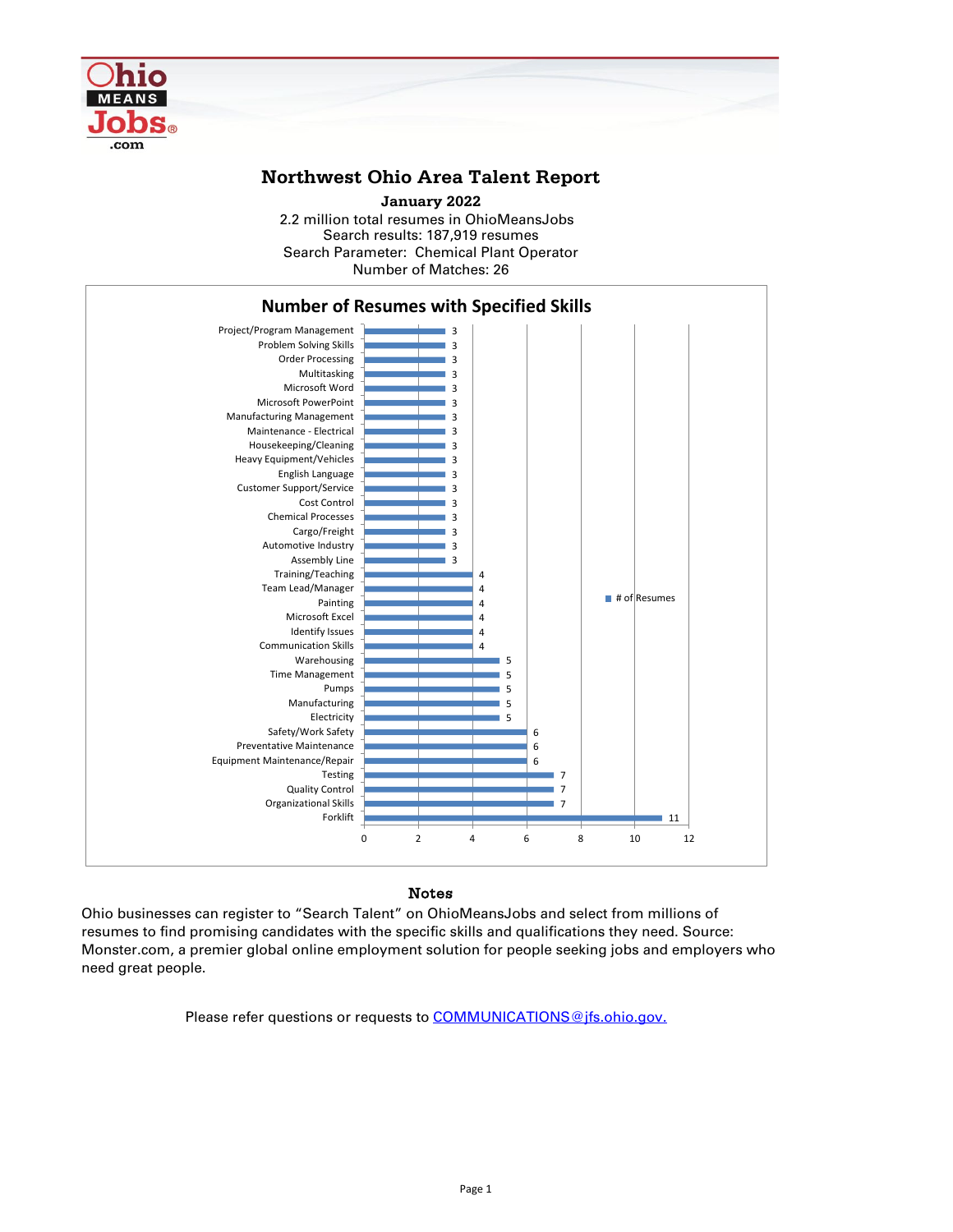## Notes

Ohio businesses can register to "Search Talent" on OhioMeansJobs and select from millions of resumes to find promising candidates with the specific skills and qualifications they need. Source: Monster.com, a premier global online employment solution for people seeking jobs and employers who need great people.

Please refer questions or requests to [COMMUNICATIONS@jfs.ohio.gov.](mailto:COMMUNICATIONS@jfs.ohio.gov.)



## **Northwest Ohio Area Talent Report**

2.2 million total resumes in OhioMeansJobs Search results: 187,919 resumes Number of Matches: 26 **January 2022** Search Parameter: Chemical Plant Operator